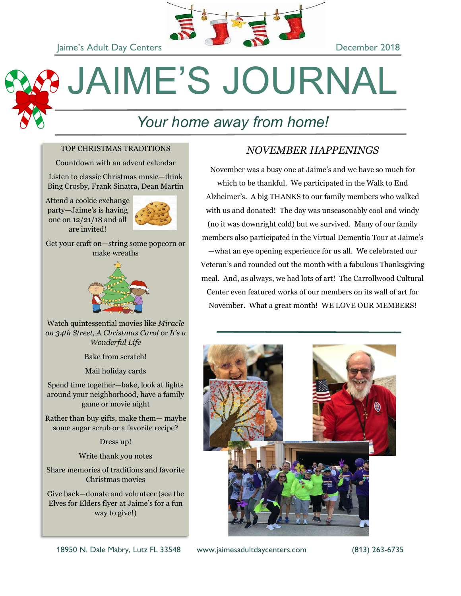

# JAIME'S JOURNAL

# *Your home away from home!*

### TOP CHRISTMAS TRADITIONS

Countdown with an advent calendar

Listen to classic Christmas music—think Bing Crosby, Frank Sinatra, Dean Martin

Attend a cookie exchange party—Jaime's is having one on 12/21/18 and all are invited!



Get your craft on—string some popcorn or make wreaths



Watch quintessential movies like *Miracle on 34th Street, A Christmas Carol* or *It's a Wonderful Life* 

Bake from scratch!

Mail holiday cards

Spend time together—bake, look at lights around your neighborhood, have a family game or movie night

Rather than buy gifts, make them— maybe some sugar scrub or a favorite recipe?

Dress up!

Write thank you notes

Share memories of traditions and favorite Christmas movies

Give back—donate and volunteer (see the Elves for Elders flyer at Jaime's for a fun way to give!)

### *NOVEMBER HAPPENINGS*

November was a busy one at Jaime's and we have so much for which to be thankful. We participated in the Walk to End Alzheimer's. A big THANKS to our family members who walked with us and donated! The day was unseasonably cool and windy (no it was downright cold) but we survived. Many of our family members also participated in the Virtual Dementia Tour at Jaime's —what an eye opening experience for us all. We celebrated our Veteran's and rounded out the month with a fabulous Thanksgiving meal. And, as always, we had lots of art! The Carrollwood Cultural Center even featured works of our members on its wall of art for November. What a great month! WE LOVE OUR MEMBERS!



18950 N. Dale Mabry, Lutz FL 33548 www.jaimesadultdaycenters.com (813) 263-6735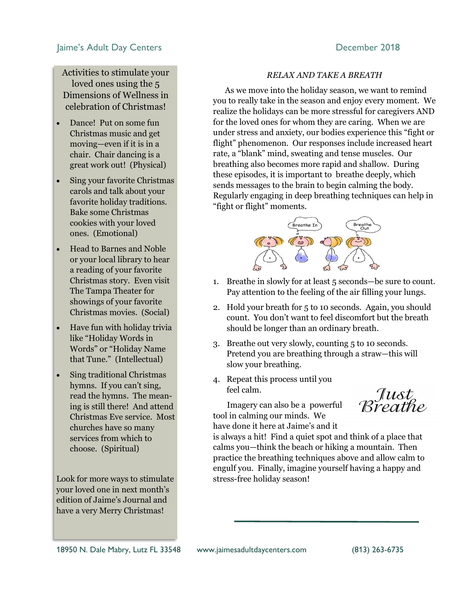Activities to stimulate your loved ones using the 5 Dimensions of Wellness in celebration of Christmas!

- Dance! Put on some fun Christmas music and get moving—even if it is in a chair. Chair dancing is a great work out! (Physical)
- Sing your favorite Christmas carols and talk about your favorite holiday traditions. Bake some Christmas cookies with your loved ones. (Emotional)
- Head to Barnes and Noble or your local library to hear a reading of your favorite Christmas story. Even visit The Tampa Theater for showings of your favorite Christmas movies. (Social)
- Have fun with holiday trivia like "Holiday Words in Words" or "Holiday Name that Tune." (Intellectual)
- Sing traditional Christmas hymns. If you can't sing, read the hymns. The meaning is still there! And attend Christmas Eve service. Most churches have so many services from which to choose. (Spiritual)

Look for more ways to stimulate your loved one in next month's edition of Jaime's Journal and have a very Merry Christmas!

### *RELAX AND TAKE A BREATH*

 As we move into the holiday season, we want to remind you to really take in the season and enjoy every moment. We realize the holidays can be more stressful for caregivers AND for the loved ones for whom they are caring. When we are under stress and anxiety, our bodies experience this "fight or flight" phenomenon. Our responses include increased heart rate, a "blank" mind, sweating and tense muscles. Our breathing also becomes more rapid and shallow. During these episodes, it is important to breathe deeply, which sends messages to the brain to begin calming the body. Regularly engaging in deep breathing techniques can help in "fight or flight" moments.



- 1. Breathe in slowly for at least 5 seconds—be sure to count. Pay attention to the feeling of the air filling your lungs.
- 2. Hold your breath for 5 to 10 seconds. Again, you should count. You don't want to feel discomfort but the breath should be longer than an ordinary breath.
- 3. Breathe out very slowly, counting 5 to 10 seconds. Pretend you are breathing through a straw—this will slow your breathing.
- 4. Repeat this process until you feel calm.

 Imagery can also be a powerful tool in calming our minds. We have done it here at Jaime's and it

Just<br>Rreathe

is always a hit! Find a quiet spot and think of a place that calms you—think the beach or hiking a mountain. Then practice the breathing techniques above and allow calm to engulf you. Finally, imagine yourself having a happy and stress-free holiday season!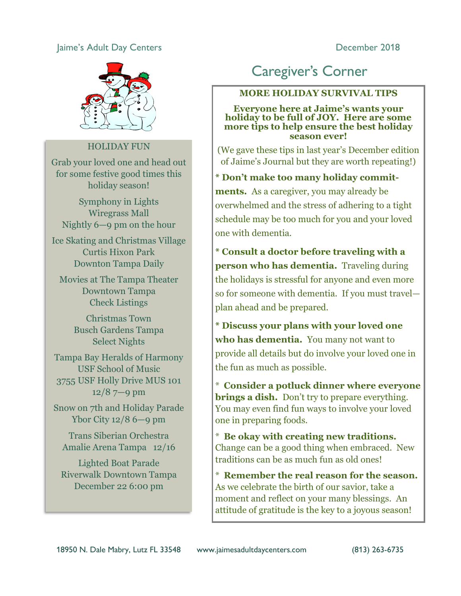

### HOLIDAY FUN

Grab your loved one and head out for some festive good times this holiday season!

Symphony in Lights Wiregrass Mall Nightly 6—9 pm on the hour

Ice Skating and Christmas Village Curtis Hixon Park Downton Tampa Daily

Movies at The Tampa Theater Downtown Tampa Check Listings

> Christmas Town Busch Gardens Tampa Select Nights

Tampa Bay Heralds of Harmony USF School of Music 3755 USF Holly Drive MUS 101 12/8 7—9 pm

Snow on 7th and Holiday Parade Ybor City 12/8 6—9 pm

Trans Siberian Orchestra Amalie Arena Tampa 12/16

Lighted Boat Parade Riverwalk Downtown Tampa December 22 6:00 pm

# Caregiver's Corner

### **MORE HOLIDAY SURVIVAL TIPS**

**Everyone here at Jaime's wants your holiday to be full of JOY. Here are some more tips to help ensure the best holiday season ever!**

(We gave these tips in last year's December edition of Jaime's Journal but they are worth repeating!)

**\* Don't make too many holiday commit-**

**ments.** As a caregiver, you may already be overwhelmed and the stress of adhering to a tight schedule may be too much for you and your loved one with dementia.

**\* Consult a doctor before traveling with a person who has dementia.** Traveling during the holidays is stressful for anyone and even more so for someone with dementia. If you must travel plan ahead and be prepared.

**\* Discuss your plans with your loved one who has dementia.** You many not want to provide all details but do involve your loved one in the fun as much as possible.

\* **Consider a potluck dinner where everyone brings a dish.** Don't try to prepare everything. You may even find fun ways to involve your loved one in preparing foods.

\* **Be okay with creating new traditions.**  Change can be a good thing when embraced. New traditions can be as much fun as old ones!

\* **Remember the real reason for the season.**  As we celebrate the birth of our savior, take a moment and reflect on your many blessings. An attitude of gratitude is the key to a joyous season!